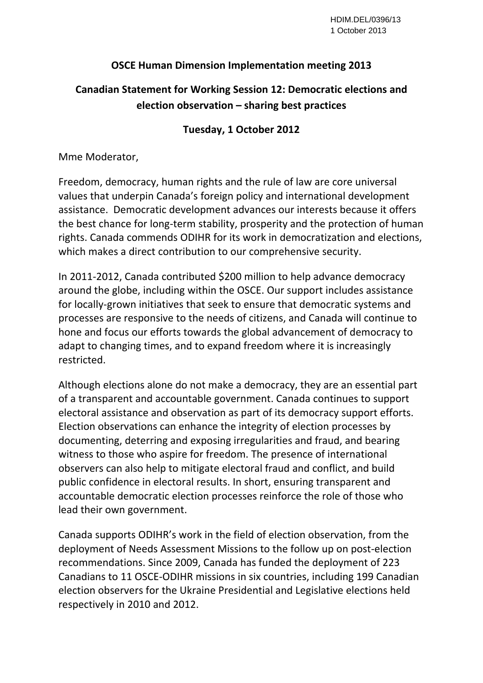## **OSCE Human Dimension Implementation meeting 2013**

## **Canadian Statement for Working Session 12: Democratic elections and election observation – sharing best practices**

## **Tuesday, 1 October 2012**

Mme Moderator,

Freedom, democracy, human rights and the rule of law are core universal values that underpin Canada's foreign policy and international development assistance. Democratic development advances our interests because it offers the best chance for long‐term stability, prosperity and the protection of human rights. Canada commends ODIHR for its work in democratization and elections, which makes a direct contribution to our comprehensive security.

In 2011‐2012, Canada contributed \$200 million to help advance democracy around the globe, including within the OSCE. Our support includes assistance for locally‐grown initiatives that seek to ensure that democratic systems and processes are responsive to the needs of citizens, and Canada will continue to hone and focus our efforts towards the global advancement of democracy to adapt to changing times, and to expand freedom where it is increasingly restricted.

Although elections alone do not make a democracy, they are an essential part of a transparent and accountable government. Canada continues to support electoral assistance and observation as part of its democracy support efforts. Election observations can enhance the integrity of election processes by documenting, deterring and exposing irregularities and fraud, and bearing witness to those who aspire for freedom. The presence of international observers can also help to mitigate electoral fraud and conflict, and build public confidence in electoral results. In short, ensuring transparent and accountable democratic election processes reinforce the role of those who lead their own government.

Canada supports ODIHR's work in the field of election observation, from the deployment of Needs Assessment Missions to the follow up on post‐election recommendations. Since 2009, Canada has funded the deployment of 223 Canadians to 11 OSCE‐ODIHR missions in six countries, including 199 Canadian election observers for the Ukraine Presidential and Legislative elections held respectively in 2010 and 2012.